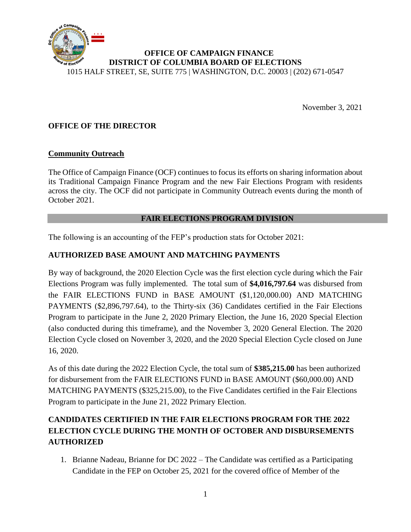

November 3, 2021

## **OFFICE OF THE DIRECTOR**

#### **Community Outreach**

The Office of Campaign Finance (OCF) continues to focus its efforts on sharing information about its Traditional Campaign Finance Program and the new Fair Elections Program with residents across the city. The OCF did not participate in Community Outreach events during the month of October 2021.

#### **FAIR ELECTIONS PROGRAM DIVISION**

The following is an accounting of the FEP's production stats for October 2021:

## **AUTHORIZED BASE AMOUNT AND MATCHING PAYMENTS**

By way of background, the 2020 Election Cycle was the first election cycle during which the Fair Elections Program was fully implemented. The total sum of **\$4,016,797.64** was disbursed from the FAIR ELECTIONS FUND in BASE AMOUNT (\$1,120,000.00) AND MATCHING PAYMENTS (\$2,896,797.64), to the Thirty-six (36) Candidates certified in the Fair Elections Program to participate in the June 2, 2020 Primary Election, the June 16, 2020 Special Election (also conducted during this timeframe), and the November 3, 2020 General Election. The 2020 Election Cycle closed on November 3, 2020, and the 2020 Special Election Cycle closed on June 16, 2020.

As of this date during the 2022 Election Cycle, the total sum of **\$385,215.00** has been authorized for disbursement from the FAIR ELECTIONS FUND in BASE AMOUNT (\$60,000.00) AND MATCHING PAYMENTS (\$325,215.00), to the Five Candidates certified in the Fair Elections Program to participate in the June 21, 2022 Primary Election.

# **CANDIDATES CERTIFIED IN THE FAIR ELECTIONS PROGRAM FOR THE 2022 ELECTION CYCLE DURING THE MONTH OF OCTOBER AND DISBURSEMENTS AUTHORIZED**

1. Brianne Nadeau, Brianne for DC 2022 – The Candidate was certified as a Participating Candidate in the FEP on October 25, 2021 for the covered office of Member of the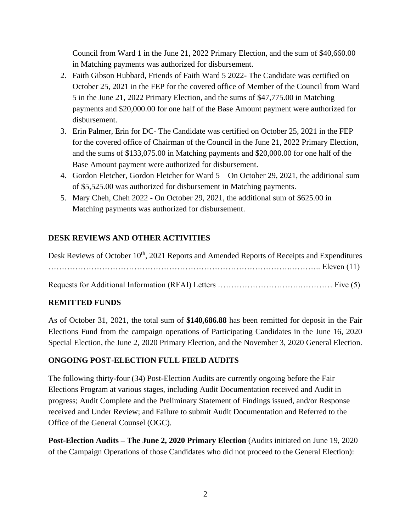Council from Ward 1 in the June 21, 2022 Primary Election, and the sum of \$40,660.00 in Matching payments was authorized for disbursement.

- 2. Faith Gibson Hubbard, Friends of Faith Ward 5 2022- The Candidate was certified on October 25, 2021 in the FEP for the covered office of Member of the Council from Ward 5 in the June 21, 2022 Primary Election, and the sums of \$47,775.00 in Matching payments and \$20,000.00 for one half of the Base Amount payment were authorized for disbursement.
- 3. Erin Palmer, Erin for DC- The Candidate was certified on October 25, 2021 in the FEP for the covered office of Chairman of the Council in the June 21, 2022 Primary Election, and the sums of \$133,075.00 in Matching payments and \$20,000.00 for one half of the Base Amount payment were authorized for disbursement.
- 4. Gordon Fletcher, Gordon Fletcher for Ward 5 On October 29, 2021, the additional sum of \$5,525.00 was authorized for disbursement in Matching payments.
- 5. Mary Cheh, Cheh 2022 On October 29, 2021, the additional sum of \$625.00 in Matching payments was authorized for disbursement.

## **DESK REVIEWS AND OTHER ACTIVITIES**

| Desk Reviews of October 10 <sup>th</sup> , 2021 Reports and Amended Reports of Receipts and Expenditures |
|----------------------------------------------------------------------------------------------------------|
|                                                                                                          |
|                                                                                                          |

## **REMITTED FUNDS**

As of October 31, 2021, the total sum of **\$140,686.88** has been remitted for deposit in the Fair Elections Fund from the campaign operations of Participating Candidates in the June 16, 2020 Special Election, the June 2, 2020 Primary Election, and the November 3, 2020 General Election.

## **ONGOING POST-ELECTION FULL FIELD AUDITS**

The following thirty-four (34) Post-Election Audits are currently ongoing before the Fair Elections Program at various stages, including Audit Documentation received and Audit in progress; Audit Complete and the Preliminary Statement of Findings issued, and/or Response received and Under Review; and Failure to submit Audit Documentation and Referred to the Office of the General Counsel (OGC).

**Post-Election Audits – The June 2, 2020 Primary Election** (Audits initiated on June 19, 2020 of the Campaign Operations of those Candidates who did not proceed to the General Election):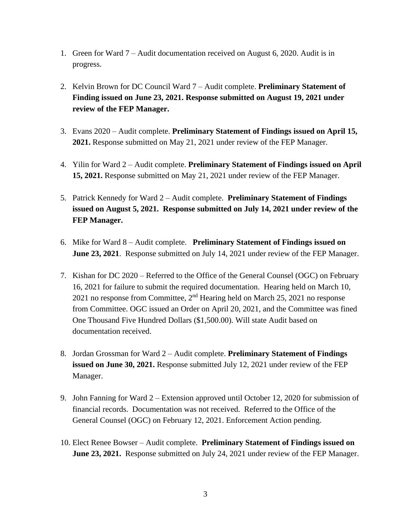- 1. Green for Ward 7 Audit documentation received on August 6, 2020. Audit is in progress.
- 2. Kelvin Brown for DC Council Ward 7 Audit complete. **Preliminary Statement of Finding issued on June 23, 2021. Response submitted on August 19, 2021 under review of the FEP Manager.**
- 3. Evans 2020 Audit complete. **Preliminary Statement of Findings issued on April 15, 2021.** Response submitted on May 21, 2021 under review of the FEP Manager.
- 4. Yilin for Ward 2 Audit complete. **Preliminary Statement of Findings issued on April 15, 2021.** Response submitted on May 21, 2021 under review of the FEP Manager.
- 5. Patrick Kennedy for Ward 2 Audit complete. **Preliminary Statement of Findings issued on August 5, 2021. Response submitted on July 14, 2021 under review of the FEP Manager.**
- 6. Mike for Ward 8 Audit complete. **Preliminary Statement of Findings issued on June 23, 2021.** Response submitted on July 14, 2021 under review of the FEP Manager.
- 7. Kishan for DC 2020 Referred to the Office of the General Counsel (OGC) on February 16, 2021 for failure to submit the required documentation. Hearing held on March 10, 2021 no response from Committee, 2nd Hearing held on March 25, 2021 no response from Committee. OGC issued an Order on April 20, 2021, and the Committee was fined One Thousand Five Hundred Dollars (\$1,500.00). Will state Audit based on documentation received.
- 8. Jordan Grossman for Ward 2 Audit complete. **Preliminary Statement of Findings issued on June 30, 2021.** Response submitted July 12, 2021 under review of the FEP Manager.
- 9. John Fanning for Ward 2 Extension approved until October 12, 2020 for submission of financial records. Documentation was not received. Referred to the Office of the General Counsel (OGC) on February 12, 2021. Enforcement Action pending.
- 10. Elect Renee Bowser Audit complete. **Preliminary Statement of Findings issued on June 23, 2021.** Response submitted on July 24, 2021 under review of the FEP Manager.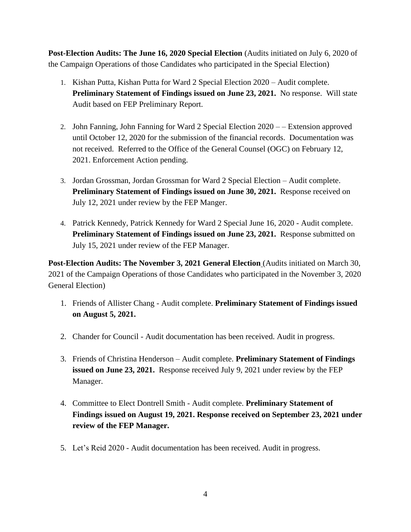**Post-Election Audits: The June 16, 2020 Special Election** (Audits initiated on July 6, 2020 of the Campaign Operations of those Candidates who participated in the Special Election)

- 1. Kishan Putta, Kishan Putta for Ward 2 Special Election 2020 Audit complete. **Preliminary Statement of Findings issued on June 23, 2021.** No response. Will state Audit based on FEP Preliminary Report.
- 2. John Fanning, John Fanning for Ward 2 Special Election 2020 – Extension approved until October 12, 2020 for the submission of the financial records. Documentation was not received. Referred to the Office of the General Counsel (OGC) on February 12, 2021. Enforcement Action pending.
- 3. Jordan Grossman, Jordan Grossman for Ward 2 Special Election Audit complete. **Preliminary Statement of Findings issued on June 30, 2021.** Response received on July 12, 2021 under review by the FEP Manger.
- 4. Patrick Kennedy, Patrick Kennedy for Ward 2 Special June 16, 2020 Audit complete. **Preliminary Statement of Findings issued on June 23, 2021.** Response submitted on July 15, 2021 under review of the FEP Manager.

**Post-Election Audits: The November 3, 2021 General Election** (Audits initiated on March 30, 2021 of the Campaign Operations of those Candidates who participated in the November 3, 2020 General Election)

- 1. Friends of Allister Chang Audit complete. **Preliminary Statement of Findings issued on August 5, 2021.**
- 2. Chander for Council Audit documentation has been received. Audit in progress.
- 3. Friends of Christina Henderson Audit complete. **Preliminary Statement of Findings issued on June 23, 2021.** Response received July 9, 2021 under review by the FEP Manager.
- 4. Committee to Elect Dontrell Smith Audit complete. **Preliminary Statement of Findings issued on August 19, 2021. Response received on September 23, 2021 under review of the FEP Manager.**
- 5. Let's Reid 2020 Audit documentation has been received. Audit in progress.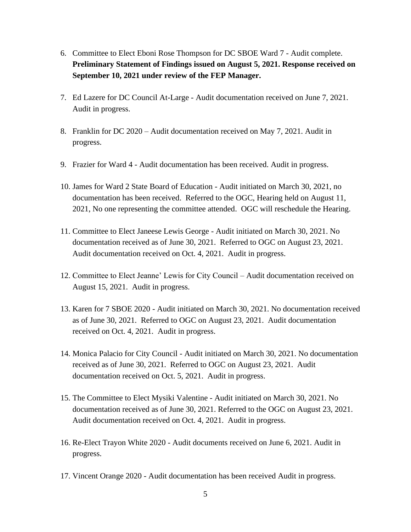- 6. Committee to Elect Eboni Rose Thompson for DC SBOE Ward 7 Audit complete. **Preliminary Statement of Findings issued on August 5, 2021. Response received on September 10, 2021 under review of the FEP Manager.**
- 7. Ed Lazere for DC Council At-Large Audit documentation received on June 7, 2021. Audit in progress.
- 8. Franklin for DC 2020 Audit documentation received on May 7, 2021. Audit in progress.
- 9. Frazier for Ward 4 Audit documentation has been received. Audit in progress.
- 10. James for Ward 2 State Board of Education Audit initiated on March 30, 2021, no documentation has been received. Referred to the OGC, Hearing held on August 11, 2021, No one representing the committee attended. OGC will reschedule the Hearing.
- 11. Committee to Elect Janeese Lewis George Audit initiated on March 30, 2021. No documentation received as of June 30, 2021. Referred to OGC on August 23, 2021. Audit documentation received on Oct. 4, 2021. Audit in progress.
- 12. Committee to Elect Jeanne' Lewis for City Council Audit documentation received on August 15, 2021. Audit in progress.
- 13. Karen for 7 SBOE 2020 Audit initiated on March 30, 2021. No documentation received as of June 30, 2021. Referred to OGC on August 23, 2021. Audit documentation received on Oct. 4, 2021. Audit in progress.
- 14. Monica Palacio for City Council Audit initiated on March 30, 2021. No documentation received as of June 30, 2021. Referred to OGC on August 23, 2021. Audit documentation received on Oct. 5, 2021. Audit in progress.
- 15. The Committee to Elect Mysiki Valentine Audit initiated on March 30, 2021. No documentation received as of June 30, 2021. Referred to the OGC on August 23, 2021. Audit documentation received on Oct. 4, 2021. Audit in progress.
- 16. Re-Elect Trayon White 2020 Audit documents received on June 6, 2021. Audit in progress.
- 17. Vincent Orange 2020 Audit documentation has been received Audit in progress.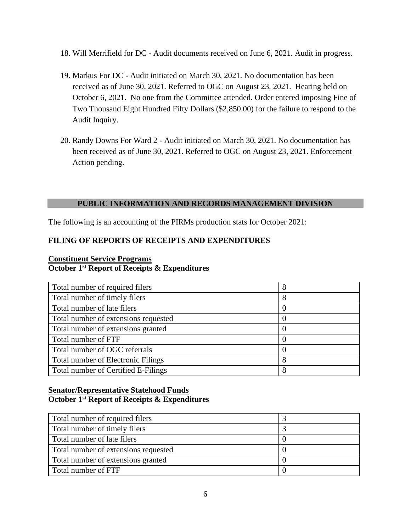- 18. Will Merrifield for DC Audit documents received on June 6, 2021. Audit in progress.
- 19. Markus For DC Audit initiated on March 30, 2021. No documentation has been received as of June 30, 2021. Referred to OGC on August 23, 2021. Hearing held on October 6, 2021. No one from the Committee attended. Order entered imposing Fine of Two Thousand Eight Hundred Fifty Dollars (\$2,850.00) for the failure to respond to the Audit Inquiry.
- 20. Randy Downs For Ward 2 Audit initiated on March 30, 2021. No documentation has been received as of June 30, 2021. Referred to OGC on August 23, 2021. Enforcement Action pending.

#### **PUBLIC INFORMATION AND RECORDS MANAGEMENT DIVISION**

The following is an accounting of the PIRMs production stats for October 2021:

## **FILING OF REPORTS OF RECEIPTS AND EXPENDITURES**

#### **Constituent Service Programs October 1st Report of Receipts & Expenditures**

| Total number of required filers           | 8 |
|-------------------------------------------|---|
| Total number of timely filers             | 8 |
| Total number of late filers               |   |
| Total number of extensions requested      |   |
| Total number of extensions granted        |   |
| Total number of FTF                       |   |
| Total number of OGC referrals             |   |
| <b>Total number of Electronic Filings</b> | 8 |
| Total number of Certified E-Filings       | 8 |

#### **Senator/Representative Statehood Funds October 1st Report of Receipts & Expenditures**

| Total number of required filers      |  |
|--------------------------------------|--|
| Total number of timely filers        |  |
| Total number of late filers          |  |
| Total number of extensions requested |  |
| Total number of extensions granted   |  |
| Total number of FTF                  |  |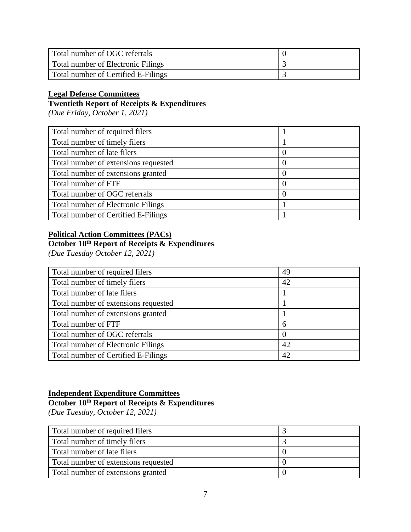| Total number of OGC referrals             |  |
|-------------------------------------------|--|
| <b>Total number of Electronic Filings</b> |  |
| Total number of Certified E-Filings       |  |

## **Legal Defense Committees**

# **Twentieth Report of Receipts & Expenditures**

*(Due Friday, October 1, 2021)*

| Total number of required filers      |                  |
|--------------------------------------|------------------|
| Total number of timely filers        |                  |
| Total number of late filers          | $\left( \right)$ |
| Total number of extensions requested | O                |
| Total number of extensions granted   | 0                |
| Total number of FTF                  | $\left( \right)$ |
| Total number of OGC referrals        | $\theta$         |
| Total number of Electronic Filings   |                  |
| Total number of Certified E-Filings  |                  |

## **Political Action Committees (PACs)**

# **October 10th Report of Receipts & Expenditures**

*(Due Tuesday October 12, 2021)*

| Total number of required filers           | 49 |
|-------------------------------------------|----|
| Total number of timely filers             | 42 |
| Total number of late filers               |    |
| Total number of extensions requested      |    |
| Total number of extensions granted        |    |
| Total number of FTF                       | 6  |
| Total number of OGC referrals             |    |
| <b>Total number of Electronic Filings</b> | 42 |
| Total number of Certified E-Filings       | 42 |

#### **Independent Expenditure Committees**

#### **October 10th Report of Receipts & Expenditures**

*(Due Tuesday, October 12, 2021)*

| Total number of required filers      |  |
|--------------------------------------|--|
| Total number of timely filers        |  |
| Total number of late filers          |  |
| Total number of extensions requested |  |
| Total number of extensions granted   |  |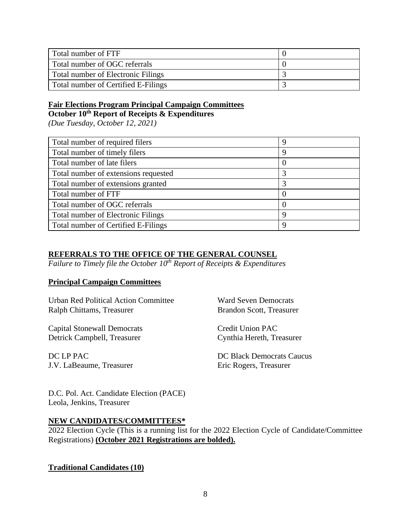| Total number of FTF                 |  |
|-------------------------------------|--|
| Total number of OGC referrals       |  |
| Total number of Electronic Filings  |  |
| Total number of Certified E-Filings |  |

# **Fair Elections Program Principal Campaign Committees**

**October 10th Report of Receipts & Expenditures**

*(Due Tuesday, October 12, 2021)*

| Total number of required filers           | 9        |
|-------------------------------------------|----------|
| Total number of timely filers             | 9        |
| Total number of late filers               | 0        |
| Total number of extensions requested      | 3        |
| Total number of extensions granted        | 3        |
| Total number of FTF                       | $\Omega$ |
| Total number of OGC referrals             | $\theta$ |
| <b>Total number of Electronic Filings</b> | 9        |
| Total number of Certified E-Filings       | 9        |

## **REFERRALS TO THE OFFICE OF THE GENERAL COUNSEL**

*Failure to Timely file the October 10th Report of Receipts & Expenditures*

#### **Principal Campaign Committees**

Urban Red Political Action Committee Ward Seven Democrats Ralph Chittams, Treasurer Brandon Scott, Treasurer

Capital Stonewall Democrats Credit Union PAC Detrick Campbell, Treasurer Cynthia Hereth, Treasurer

DC LP PAC J.V. LaBeaume, Treasurer

DC Black Democrats Caucus Eric Rogers, Treasurer

D.C. Pol. Act. Candidate Election (PACE) Leola, Jenkins, Treasurer

#### **NEW CANDIDATES/COMMITTEES\***

2022 Election Cycle (This is a running list for the 2022 Election Cycle of Candidate/Committee Registrations) **(October 2021 Registrations are bolded).**

**Traditional Candidates (10)**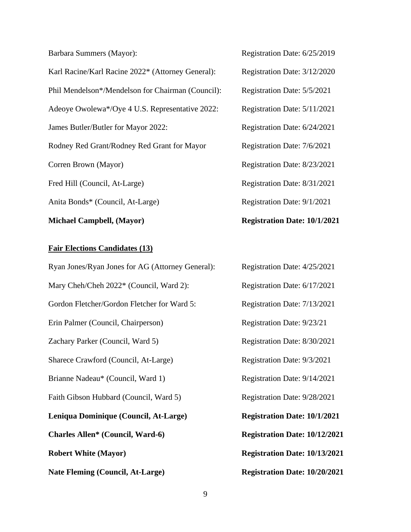Barbara Summers (Mayor): Registration Date: 6/25/2019 Karl Racine/Karl Racine 2022\* (Attorney General): Registration Date: 3/12/2020 Phil Mendelson\*/Mendelson for Chairman (Council): Registration Date: 5/5/2021 Adeoye Owolewa\*/Oye 4 U.S. Representative 2022: Registration Date: 5/11/2021 James Butler/Butler for Mayor 2022: Registration Date: 6/24/2021 Rodney Red Grant/Rodney Red Grant for Mayor Registration Date: 7/6/2021 Corren Brown (Mayor) Registration Date: 8/23/2021 Fred Hill (Council, At-Large) Registration Date: 8/31/2021 Anita Bonds\* (Council, At-Large) Registration Date: 9/1/2021

#### **Fair Elections Candidates (13)**

Ryan Jones/Ryan Jones for AG (Attorney General): Registration Date: 4/25/2021 Mary Cheh/Cheh 2022\* (Council, Ward 2): Registration Date: 6/17/2021 Gordon Fletcher/Gordon Fletcher for Ward 5: Registration Date: 7/13/2021 Erin Palmer (Council, Chairperson) Registration Date: 9/23/21 Zachary Parker (Council, Ward 5) Registration Date: 8/30/2021 Sharece Crawford (Council, At-Large) Registration Date: 9/3/2021 Brianne Nadeau\* (Council, Ward 1) Registration Date: 9/14/2021 Faith Gibson Hubbard (Council, Ward 5) Registration Date: 9/28/2021 **Leniqua Dominique (Council, At-Large) Registration Date: 10/1/2021 Charles Allen\* (Council, Ward-6) Registration Date: 10/12/2021 Robert White (Mayor) Registration Date: 10/13/2021 Nate Fleming (Council, At-Large) Registration Date: 10/20/2021**

**Michael Campbell, (Mayor) Registration Date: 10/1/2021**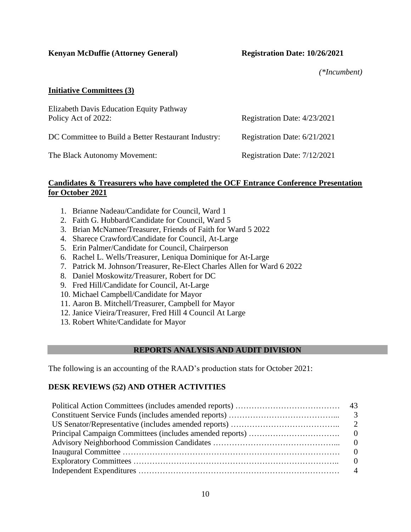**Kenyan McDuffie (Attorney General) Registration Date: 10/26/2021**

*(\*Incumbent)*

## **Initiative Committees (3)**

| Elizabeth Davis Education Equity Pathway<br>Policy Act of 2022: | Registration Date: 4/23/2021 |
|-----------------------------------------------------------------|------------------------------|
| DC Committee to Build a Better Restaurant Industry:             | Registration Date: 6/21/2021 |
| The Black Autonomy Movement:                                    | Registration Date: 7/12/2021 |

#### **Candidates & Treasurers who have completed the OCF Entrance Conference Presentation for October 2021**

- 1. Brianne Nadeau/Candidate for Council, Ward 1
- 2. Faith G. Hubbard/Candidate for Council, Ward 5
- 3. Brian McNamee/Treasurer, Friends of Faith for Ward 5 2022
- 4. Sharece Crawford/Candidate for Council, At-Large
- 5. Erin Palmer/Candidate for Council, Chairperson
- 6. Rachel L. Wells/Treasurer, Leniqua Dominique for At-Large
- 7. Patrick M. Johnson/Treasurer, Re-Elect Charles Allen for Ward 6 2022
- 8. Daniel Moskowitz/Treasurer, Robert for DC
- 9. Fred Hill/Candidate for Council, At-Large
- 10. Michael Campbell/Candidate for Mayor
- 11. Aaron B. Mitchell/Treasurer, Campbell for Mayor
- 12. Janice Vieira/Treasurer, Fred Hill 4 Council At Large
- 13. Robert White/Candidate for Mayor

## **REPORTS ANALYSIS AND AUDIT DIVISION**

The following is an accounting of the RAAD's production stats for October 2021:

## **DESK REVIEWS (52) AND OTHER ACTIVITIES**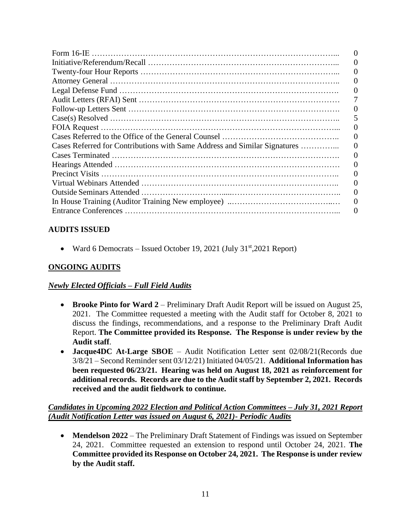| O                                                                         |
|---------------------------------------------------------------------------|
|                                                                           |
|                                                                           |
|                                                                           |
|                                                                           |
|                                                                           |
|                                                                           |
|                                                                           |
|                                                                           |
| Cases Referred for Contributions with Same Address and Similar Signatures |
|                                                                           |
|                                                                           |
|                                                                           |
|                                                                           |
|                                                                           |
|                                                                           |
|                                                                           |

## **AUDITS ISSUED**

• Ward 6 Democrats – Issued October 19, 2021 (July  $31<sup>st</sup>$ , 2021 Report)

## **ONGOING AUDITS**

## *Newly Elected Officials – Full Field Audits*

- **Brooke Pinto for Ward 2** Preliminary Draft Audit Report will be issued on August 25, 2021. The Committee requested a meeting with the Audit staff for October 8, 2021 to discuss the findings, recommendations, and a response to the Preliminary Draft Audit Report. **The Committee provided its Response. The Response is under review by the Audit staff**.
- **Jacque4DC At-Large SBOE**  Audit Notification Letter sent 02/08/21(Records due 3/8/21 – Second Reminder sent 03/12/21) Initiated 04/05/21. **Additional Information has been requested 06/23/21. Hearing was held on August 18, 2021 as reinforcement for additional records. Records are due to the Audit staff by September 2, 2021. Records received and the audit fieldwork to continue.**

## *Candidates in Upcoming 2022 Election and Political Action Committees – July 31, 2021 Report (Audit Notification Letter was issued on August 6, 2021)- Periodic Audits*

• **Mendelson 2022** – The Preliminary Draft Statement of Findings was issued on September 24, 2021. Committee requested an extension to respond until October 24, 2021. **The Committee provided its Response on October 24, 2021. The Response is under review by the Audit staff.**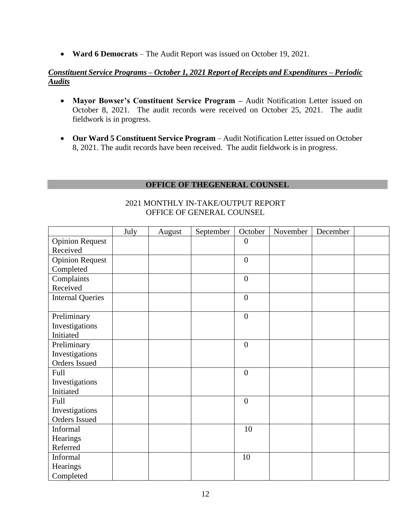• **Ward 6 Democrats** – The Audit Report was issued on October 19, 2021.

## *Constituent Service Programs – October 1, 2021 Report of Receipts and Expenditures – Periodic Audits*

- **Mayor Bowser's Constituent Service Program –** Audit Notification Letter issued on October 8, 2021. The audit records were received on October 25, 2021. The audit fieldwork is in progress.
- **Our Ward 5 Constituent Service Program** Audit Notification Letter issued on October 8, 2021. The audit records have been received. The audit fieldwork is in progress.

## **OFFICE OF THEGENERAL COUNSEL**

|                         | July | August | September | October          | November | December |  |
|-------------------------|------|--------|-----------|------------------|----------|----------|--|
| <b>Opinion Request</b>  |      |        |           | $\boldsymbol{0}$ |          |          |  |
| Received                |      |        |           |                  |          |          |  |
| <b>Opinion Request</b>  |      |        |           | $\overline{0}$   |          |          |  |
| Completed               |      |        |           |                  |          |          |  |
| Complaints              |      |        |           | $\mathbf{0}$     |          |          |  |
| Received                |      |        |           |                  |          |          |  |
| <b>Internal Queries</b> |      |        |           | $\overline{0}$   |          |          |  |
|                         |      |        |           |                  |          |          |  |
| Preliminary             |      |        |           | $\mathbf{0}$     |          |          |  |
| Investigations          |      |        |           |                  |          |          |  |
| Initiated               |      |        |           |                  |          |          |  |
| Preliminary             |      |        |           | $\overline{0}$   |          |          |  |
| Investigations          |      |        |           |                  |          |          |  |
| <b>Orders Issued</b>    |      |        |           |                  |          |          |  |
| Full                    |      |        |           | $\mathbf{0}$     |          |          |  |
| Investigations          |      |        |           |                  |          |          |  |
| Initiated               |      |        |           |                  |          |          |  |
| Full                    |      |        |           | $\boldsymbol{0}$ |          |          |  |
| Investigations          |      |        |           |                  |          |          |  |
| Orders Issued           |      |        |           |                  |          |          |  |
| Informal                |      |        |           | 10               |          |          |  |
| Hearings                |      |        |           |                  |          |          |  |
| Referred                |      |        |           |                  |          |          |  |
| Informal                |      |        |           | 10               |          |          |  |
| Hearings                |      |        |           |                  |          |          |  |
| Completed               |      |        |           |                  |          |          |  |

#### 2021 MONTHLY IN-TAKE/OUTPUT REPORT OFFICE OF GENERAL COUNSEL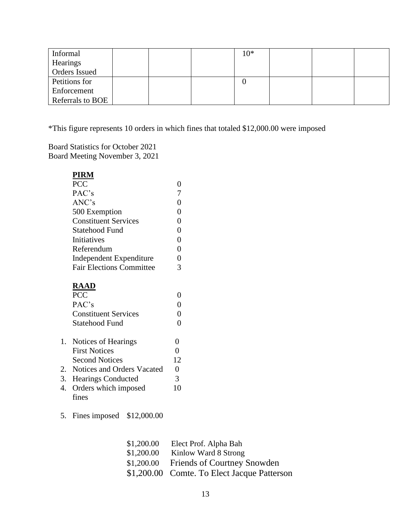| Informal             |  | $10*$ |  |  |
|----------------------|--|-------|--|--|
| Hearings             |  |       |  |  |
| <b>Orders Issued</b> |  |       |  |  |
| Petitions for        |  |       |  |  |
| Enforcement          |  |       |  |  |
| Referrals to BOE     |  |       |  |  |

\*This figure represents 10 orders in which fines that totaled \$12,000.00 were imposed

Board Statistics for October 2021 Board Meeting November 3, 2021

| PIRM                            |   |  |
|---------------------------------|---|--|
| <b>PCC</b>                      | 0 |  |
| PAC's                           | 7 |  |
| ANC's                           |   |  |
| 500 Exemption                   |   |  |
| <b>Constituent Services</b>     | 0 |  |
| Statehood Fund                  | 0 |  |
| Initiatives                     | 0 |  |
| Referendum                      | 0 |  |
| Independent Expenditure         |   |  |
| <b>Fair Elections Committee</b> | 3 |  |
| <b>RAAD</b>                     |   |  |
| <b>PCC</b>                      |   |  |
| PAC's                           |   |  |
| <b>Constituent Services</b>     | 0 |  |
| Statehood Fund                  |   |  |

| 1. Notices of Hearings        |    |  |
|-------------------------------|----|--|
| <b>First Notices</b>          |    |  |
| <b>Second Notices</b>         | 12 |  |
| 2. Notices and Orders Vacated |    |  |
| 3. Hearings Conducted         |    |  |
| 4. Orders which imposed       | 10 |  |
| fines                         |    |  |

5. Fines imposed \$12,000.00

| \$1,200.00 | Elect Prof. Alpha Bah                       |
|------------|---------------------------------------------|
| \$1,200.00 | Kinlow Ward 8 Strong                        |
| \$1,200.00 | Friends of Courtney Snowden                 |
|            | \$1,200.00 Comte. To Elect Jacque Patterson |